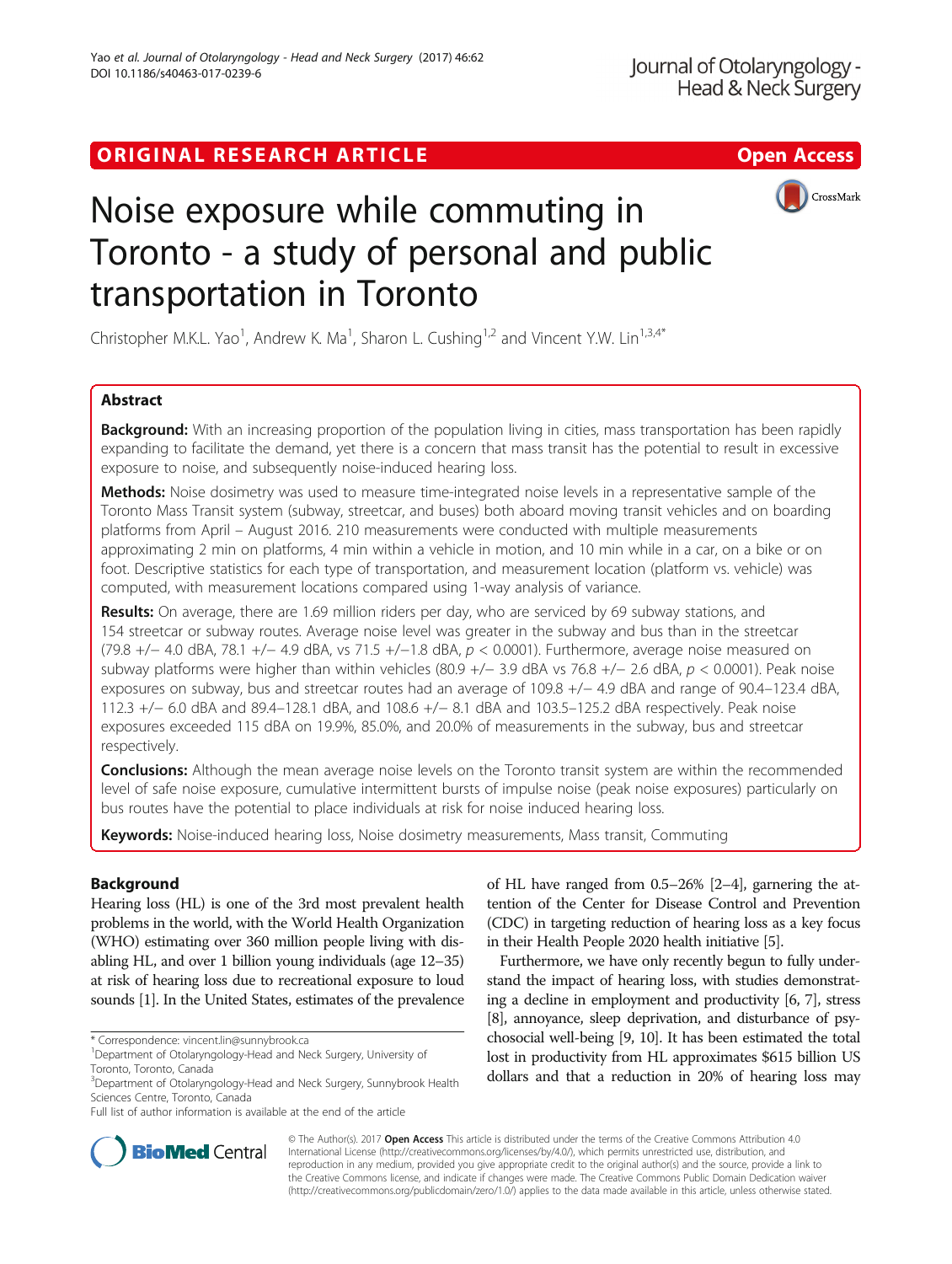# ORIGINAL RESEARCH ARTICLE **External of the Contract Contract Contract Contract Contract Contract Contract Contract Contract Contract Contract Contract Contract Contract Contract Contract Contract Contract Contract Contract**



# Noise exposure while commuting in Toronto - a study of personal and public transportation in Toronto

Christopher M.K.L. Yao<sup>1</sup>, Andrew K. Ma<sup>1</sup>, Sharon L. Cushing<sup>1,2</sup> and Vincent Y.W. Lin<sup>1,3,4\*</sup>

# Abstract

**Background:** With an increasing proportion of the population living in cities, mass transportation has been rapidly expanding to facilitate the demand, yet there is a concern that mass transit has the potential to result in excessive exposure to noise, and subsequently noise-induced hearing loss.

Methods: Noise dosimetry was used to measure time-integrated noise levels in a representative sample of the Toronto Mass Transit system (subway, streetcar, and buses) both aboard moving transit vehicles and on boarding platforms from April – August 2016. 210 measurements were conducted with multiple measurements approximating 2 min on platforms, 4 min within a vehicle in motion, and 10 min while in a car, on a bike or on foot. Descriptive statistics for each type of transportation, and measurement location (platform vs. vehicle) was computed, with measurement locations compared using 1-way analysis of variance.

Results: On average, there are 1.69 million riders per day, who are serviced by 69 subway stations, and 154 streetcar or subway routes. Average noise level was greater in the subway and bus than in the streetcar (79.8 +/− 4.0 dBA, 78.1 +/− 4.9 dBA, vs 71.5 +/−1.8 dBA, p < 0.0001). Furthermore, average noise measured on subway platforms were higher than within vehicles (80.9 +/− 3.9 dBA vs 76.8 +/− 2.6 dBA, p < 0.0001). Peak noise exposures on subway, bus and streetcar routes had an average of 109.8 +/− 4.9 dBA and range of 90.4–123.4 dBA, 112.3 +/− 6.0 dBA and 89.4–128.1 dBA, and 108.6 +/− 8.1 dBA and 103.5–125.2 dBA respectively. Peak noise exposures exceeded 115 dBA on 19.9%, 85.0%, and 20.0% of measurements in the subway, bus and streetcar respectively.

**Conclusions:** Although the mean average noise levels on the Toronto transit system are within the recommended level of safe noise exposure, cumulative intermittent bursts of impulse noise (peak noise exposures) particularly on bus routes have the potential to place individuals at risk for noise induced hearing loss.

Keywords: Noise-induced hearing loss, Noise dosimetry measurements, Mass transit, Commuting

# Background

Hearing loss (HL) is one of the 3rd most prevalent health problems in the world, with the World Health Organization (WHO) estimating over 360 million people living with disabling HL, and over 1 billion young individuals (age 12–35) at risk of hearing loss due to recreational exposure to loud sounds [[1\]](#page-6-0). In the United States, estimates of the prevalence

of HL have ranged from 0.5–26% [\[2](#page-6-0)–[4](#page-6-0)], garnering the attention of the Center for Disease Control and Prevention (CDC) in targeting reduction of hearing loss as a key focus in their Health People 2020 health initiative [[5](#page-6-0)].

Furthermore, we have only recently begun to fully understand the impact of hearing loss, with studies demonstrating a decline in employment and productivity [[6, 7\]](#page-6-0), stress [[8](#page-6-0)], annoyance, sleep deprivation, and disturbance of psychosocial well-being [\[9, 10](#page-6-0)]. It has been estimated the total lost in productivity from HL approximates \$615 billion US dollars and that a reduction in 20% of hearing loss may



© The Author(s). 2017 **Open Access** This article is distributed under the terms of the Creative Commons Attribution 4.0 International License [\(http://creativecommons.org/licenses/by/4.0/](http://creativecommons.org/licenses/by/4.0/)), which permits unrestricted use, distribution, and reproduction in any medium, provided you give appropriate credit to the original author(s) and the source, provide a link to the Creative Commons license, and indicate if changes were made. The Creative Commons Public Domain Dedication waiver [\(http://creativecommons.org/publicdomain/zero/1.0/](http://creativecommons.org/publicdomain/zero/1.0/)) applies to the data made available in this article, unless otherwise stated.

<sup>\*</sup> Correspondence: [vincent.lin@sunnybrook.ca](mailto:vincent.lin@sunnybrook.ca) <sup>1</sup>

Department of Otolaryngology-Head and Neck Surgery, University of Toronto, Toronto, Canada

<sup>&</sup>lt;sup>3</sup>Department of Otolaryngology-Head and Neck Surgery, Sunnybrook Health Sciences Centre, Toronto, Canada

Full list of author information is available at the end of the article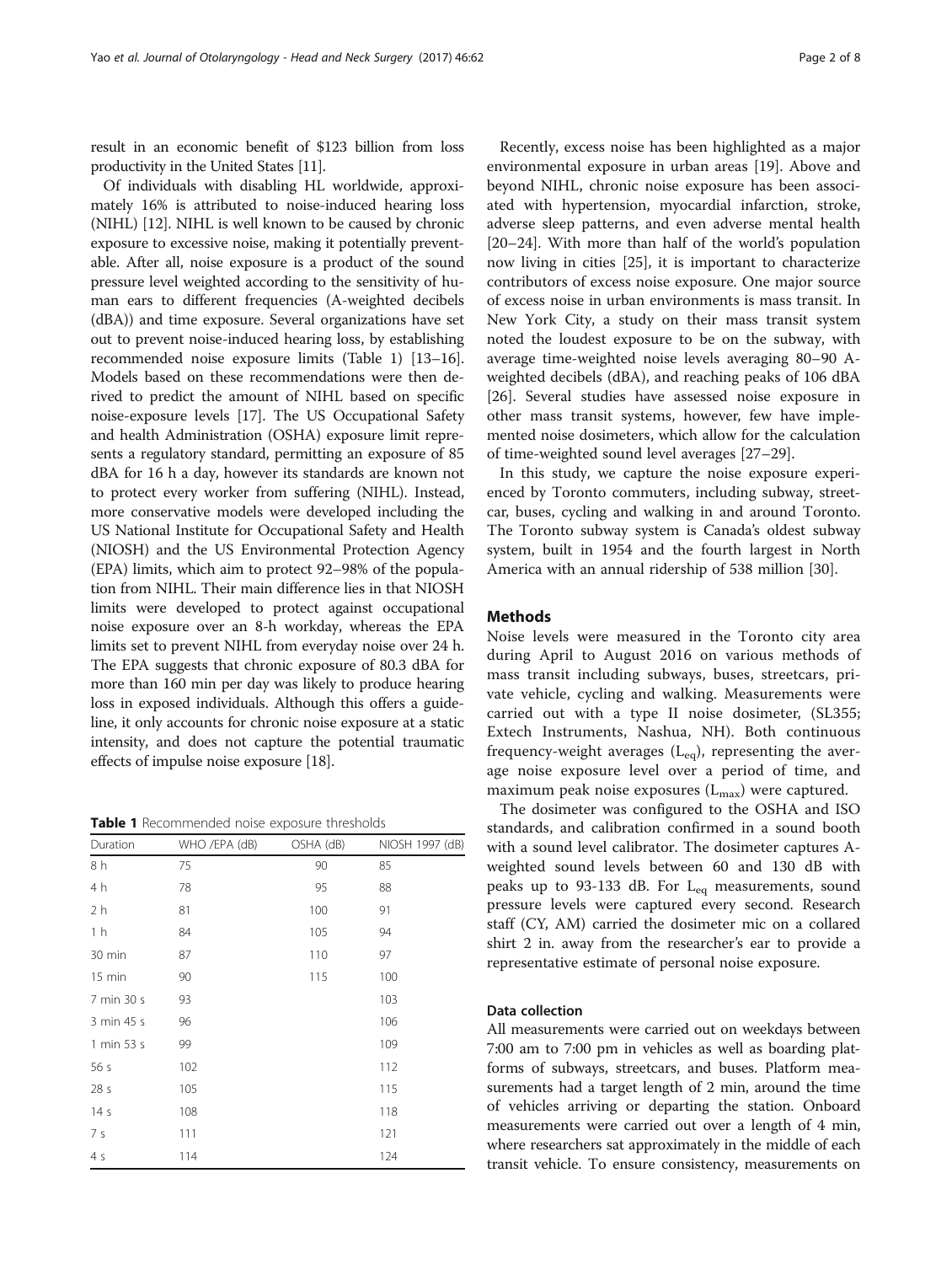result in an economic benefit of \$123 billion from loss productivity in the United States [\[11\]](#page-7-0).

Of individuals with disabling HL worldwide, approximately 16% is attributed to noise-induced hearing loss (NIHL) [\[12](#page-7-0)]. NIHL is well known to be caused by chronic exposure to excessive noise, making it potentially preventable. After all, noise exposure is a product of the sound pressure level weighted according to the sensitivity of human ears to different frequencies (A-weighted decibels (dBA)) and time exposure. Several organizations have set out to prevent noise-induced hearing loss, by establishing recommended noise exposure limits (Table 1) [\[13](#page-7-0)–[16](#page-7-0)]. Models based on these recommendations were then derived to predict the amount of NIHL based on specific noise-exposure levels [\[17](#page-7-0)]. The US Occupational Safety and health Administration (OSHA) exposure limit represents a regulatory standard, permitting an exposure of 85 dBA for 16 h a day, however its standards are known not to protect every worker from suffering (NIHL). Instead, more conservative models were developed including the US National Institute for Occupational Safety and Health (NIOSH) and the US Environmental Protection Agency (EPA) limits, which aim to protect 92–98% of the population from NIHL. Their main difference lies in that NIOSH limits were developed to protect against occupational noise exposure over an 8-h workday, whereas the EPA limits set to prevent NIHL from everyday noise over 24 h. The EPA suggests that chronic exposure of 80.3 dBA for more than 160 min per day was likely to produce hearing loss in exposed individuals. Although this offers a guideline, it only accounts for chronic noise exposure at a static intensity, and does not capture the potential traumatic effects of impulse noise exposure [\[18](#page-7-0)].

**Table 1** Recommended noise exposure thresholds

| Duration         | WHO /EPA (dB) | OSHA (dB) | NIOSH 1997 (dB) |
|------------------|---------------|-----------|-----------------|
| 8 h              | 75            | 90        | 85              |
| 4 h              | 78            | 95        | 88              |
| 2 <sub>h</sub>   | 81            | 100       | 91              |
| 1 <sub>h</sub>   | 84            | 105       | 94              |
| 30 min           | 87            | 110       | 97              |
| $15 \text{ min}$ | 90            | 115       | 100             |
| 7 min 30 s       | 93            |           | 103             |
| 3 min 45 s       | 96            |           | 106             |
| 1 min 53 s       | 99            |           | 109             |
| 56s              | 102           |           | 112             |
| 28 <sub>s</sub>  | 105           |           | 115             |
| 14 <sub>s</sub>  | 108           |           | 118             |
| 7 s              | 111           |           | 121             |
| 4 <sub>s</sub>   | 114           |           | 124             |

Recently, excess noise has been highlighted as a major environmental exposure in urban areas [[19\]](#page-7-0). Above and beyond NIHL, chronic noise exposure has been associated with hypertension, myocardial infarction, stroke, adverse sleep patterns, and even adverse mental health [[20](#page-7-0)–[24](#page-7-0)]. With more than half of the world's population now living in cities [[25\]](#page-7-0), it is important to characterize contributors of excess noise exposure. One major source of excess noise in urban environments is mass transit. In New York City, a study on their mass transit system noted the loudest exposure to be on the subway, with average time-weighted noise levels averaging 80–90 Aweighted decibels (dBA), and reaching peaks of 106 dBA [[26\]](#page-7-0). Several studies have assessed noise exposure in other mass transit systems, however, few have implemented noise dosimeters, which allow for the calculation of time-weighted sound level averages [[27](#page-7-0)–[29](#page-7-0)].

In this study, we capture the noise exposure experienced by Toronto commuters, including subway, streetcar, buses, cycling and walking in and around Toronto. The Toronto subway system is Canada's oldest subway system, built in 1954 and the fourth largest in North America with an annual ridership of 538 million [\[30](#page-7-0)].

# **Methods**

Noise levels were measured in the Toronto city area during April to August 2016 on various methods of mass transit including subways, buses, streetcars, private vehicle, cycling and walking. Measurements were carried out with a type II noise dosimeter, (SL355; Extech Instruments, Nashua, NH). Both continuous frequency-weight averages  $(L_{eq})$ , representing the average noise exposure level over a period of time, and maximum peak noise exposures  $(L_{\text{max}})$  were captured.

The dosimeter was configured to the OSHA and ISO standards, and calibration confirmed in a sound booth with a sound level calibrator. The dosimeter captures Aweighted sound levels between 60 and 130 dB with peaks up to 93-133 dB. For  $L_{eq}$  measurements, sound pressure levels were captured every second. Research staff (CY, AM) carried the dosimeter mic on a collared shirt 2 in. away from the researcher's ear to provide a representative estimate of personal noise exposure.

# Data collection

All measurements were carried out on weekdays between 7:00 am to 7:00 pm in vehicles as well as boarding platforms of subways, streetcars, and buses. Platform measurements had a target length of 2 min, around the time of vehicles arriving or departing the station. Onboard measurements were carried out over a length of 4 min, where researchers sat approximately in the middle of each transit vehicle. To ensure consistency, measurements on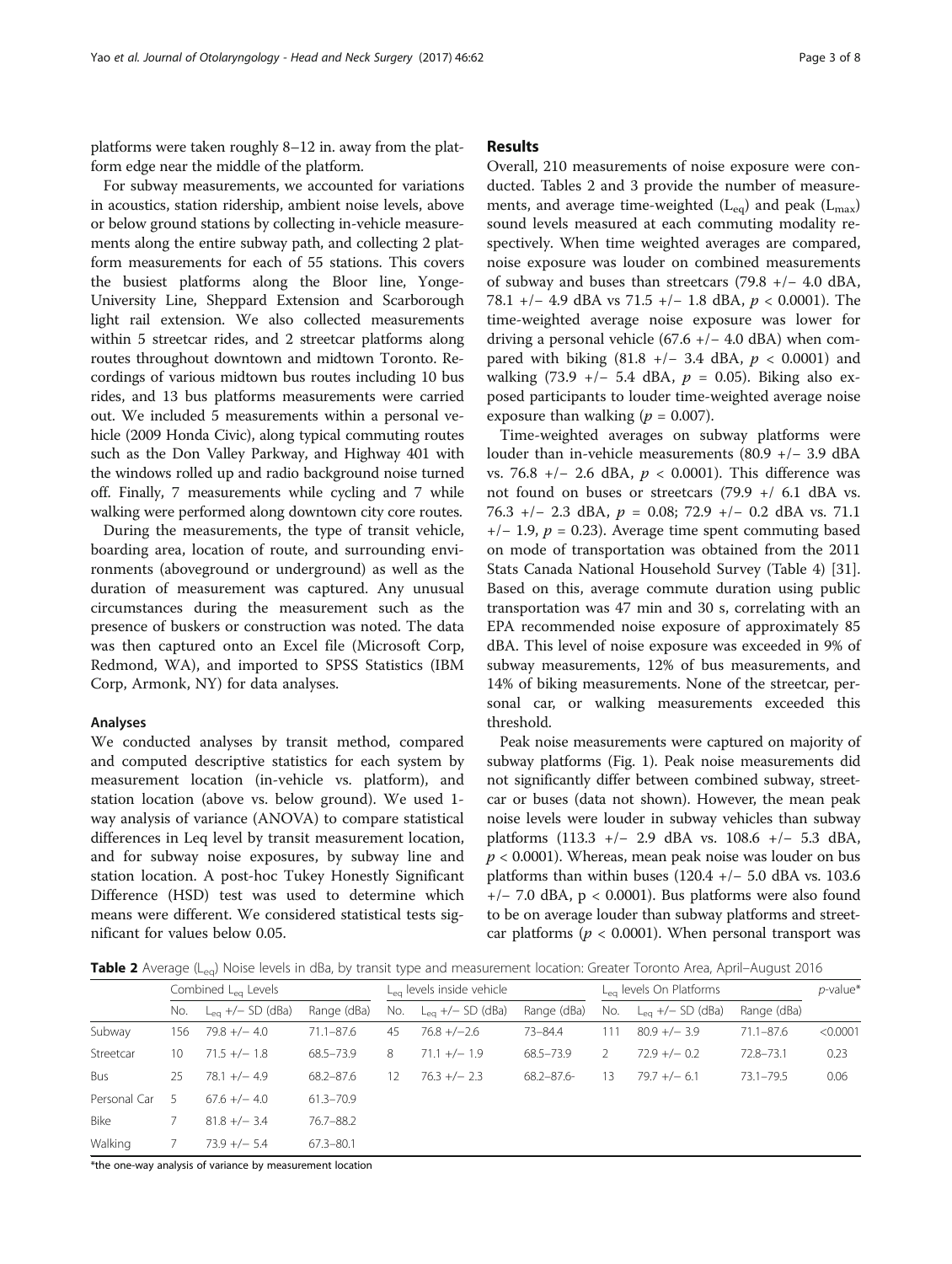platforms were taken roughly 8–12 in. away from the platform edge near the middle of the platform.

For subway measurements, we accounted for variations in acoustics, station ridership, ambient noise levels, above or below ground stations by collecting in-vehicle measurements along the entire subway path, and collecting 2 platform measurements for each of 55 stations. This covers the busiest platforms along the Bloor line, Yonge-University Line, Sheppard Extension and Scarborough light rail extension. We also collected measurements within 5 streetcar rides, and 2 streetcar platforms along routes throughout downtown and midtown Toronto. Recordings of various midtown bus routes including 10 bus rides, and 13 bus platforms measurements were carried out. We included 5 measurements within a personal vehicle (2009 Honda Civic), along typical commuting routes such as the Don Valley Parkway, and Highway 401 with the windows rolled up and radio background noise turned off. Finally, 7 measurements while cycling and 7 while walking were performed along downtown city core routes.

During the measurements, the type of transit vehicle, boarding area, location of route, and surrounding environments (aboveground or underground) as well as the duration of measurement was captured. Any unusual circumstances during the measurement such as the presence of buskers or construction was noted. The data was then captured onto an Excel file (Microsoft Corp, Redmond, WA), and imported to SPSS Statistics (IBM Corp, Armonk, NY) for data analyses.

## Analyses

We conducted analyses by transit method, compared and computed descriptive statistics for each system by measurement location (in-vehicle vs. platform), and station location (above vs. below ground). We used 1 way analysis of variance (ANOVA) to compare statistical differences in Leq level by transit measurement location, and for subway noise exposures, by subway line and station location. A post-hoc Tukey Honestly Significant Difference (HSD) test was used to determine which means were different. We considered statistical tests significant for values below 0.05.

# Results

Overall, 210 measurements of noise exposure were conducted. Tables 2 and [3](#page-3-0) provide the number of measurements, and average time-weighted  $(L_{eq})$  and peak  $(L_{max})$ sound levels measured at each commuting modality respectively. When time weighted averages are compared, noise exposure was louder on combined measurements of subway and buses than streetcars (79.8 +/− 4.0 dBA, 78.1 +/− 4.9 dBA vs 71.5 +/− 1.8 dBA, p < 0.0001). The time-weighted average noise exposure was lower for driving a personal vehicle (67.6 +/− 4.0 dBA) when compared with biking (81.8 +/- 3.4 dBA,  $p < 0.0001$ ) and walking (73.9 +/− 5.4 dBA,  $p = 0.05$ ). Biking also exposed participants to louder time-weighted average noise exposure than walking ( $p = 0.007$ ).

Time-weighted averages on subway platforms were louder than in-vehicle measurements (80.9 +/− 3.9 dBA vs. 76.8 +/− 2.6 dBA, p < 0.0001). This difference was not found on buses or streetcars (79.9 +/ 6.1 dBA vs. 76.3 +/- 2.3 dBA,  $p = 0.08$ ; 72.9 +/- 0.2 dBA vs. 71.1  $+/- 1.9$ ,  $p = 0.23$ ). Average time spent commuting based on mode of transportation was obtained from the 2011 Stats Canada National Household Survey (Table [4\)](#page-3-0) [\[31](#page-7-0)]. Based on this, average commute duration using public transportation was 47 min and 30 s, correlating with an EPA recommended noise exposure of approximately 85 dBA. This level of noise exposure was exceeded in 9% of subway measurements, 12% of bus measurements, and 14% of biking measurements. None of the streetcar, personal car, or walking measurements exceeded this threshold.

Peak noise measurements were captured on majority of subway platforms (Fig. [1](#page-4-0)). Peak noise measurements did not significantly differ between combined subway, streetcar or buses (data not shown). However, the mean peak noise levels were louder in subway vehicles than subway platforms (113.3 +/− 2.9 dBA vs. 108.6 +/− 5.3 dBA,  $p < 0.0001$ ). Whereas, mean peak noise was louder on bus platforms than within buses  $(120.4 +/- 5.0$  dBA vs. 103.6 +/− 7.0 dBA, p < 0.0001). Bus platforms were also found to be on average louder than subway platforms and streetcar platforms ( $p < 0.0001$ ). When personal transport was

Table 2 Average (L<sub>eg</sub>) Noise levels in dBa, by transit type and measurement location: Greater Toronto Area, April–August 2016

|              | Combined L <sub>ea</sub> Levels |                       | $L_{eq}$ levels inside vehicle |     |                              | $L_{eq}$ levels On Platforms |     |                       | $p$ -value*   |          |
|--------------|---------------------------------|-----------------------|--------------------------------|-----|------------------------------|------------------------------|-----|-----------------------|---------------|----------|
|              | No.                             | $L_{eq}$ +/- SD (dBa) | Range (dBa)                    | No. | $L_{\text{eq}}$ +/- SD (dBa) | Range (dBa)                  | No. | $L_{eq}$ +/- SD (dBa) | Range (dBa)   |          |
| Subway       | 156                             | $79.8 +/- 4.0$        | $71.1 - 87.6$                  | 45  | $76.8 + (-2.6)$              | 73-84.4                      | 111 | $80.9 +/- 3.9$        | $71.1 - 87.6$ | < 0.0001 |
| Streetcar    | 10                              | $71.5 +/- 1.8$        | 68.5-73.9                      | 8   | $71.1 +/- 1.9$               | 68.5-73.9                    |     | $72.9 +/- 0.2$        | 72.8-73.1     | 0.23     |
| <b>Bus</b>   | 25                              | $78.1 +/- 4.9$        | $68.2 - 87.6$                  | 12  | $76.3 +/- 2.3$               | $68.2 - 87.6 -$              | 13  | $79.7 +/- 6.1$        | $73.1 - 79.5$ | 0.06     |
| Personal Car |                                 | $67.6 +/- 4.0$        | 61.3-70.9                      |     |                              |                              |     |                       |               |          |
| Bike         |                                 | $81.8 +/- 3.4$        | $76.7 - 88.2$                  |     |                              |                              |     |                       |               |          |
| Walking      |                                 | $73.9 +/- 5.4$        | $67.3 - 80.1$                  |     |                              |                              |     |                       |               |          |

\*the one-way analysis of variance by measurement location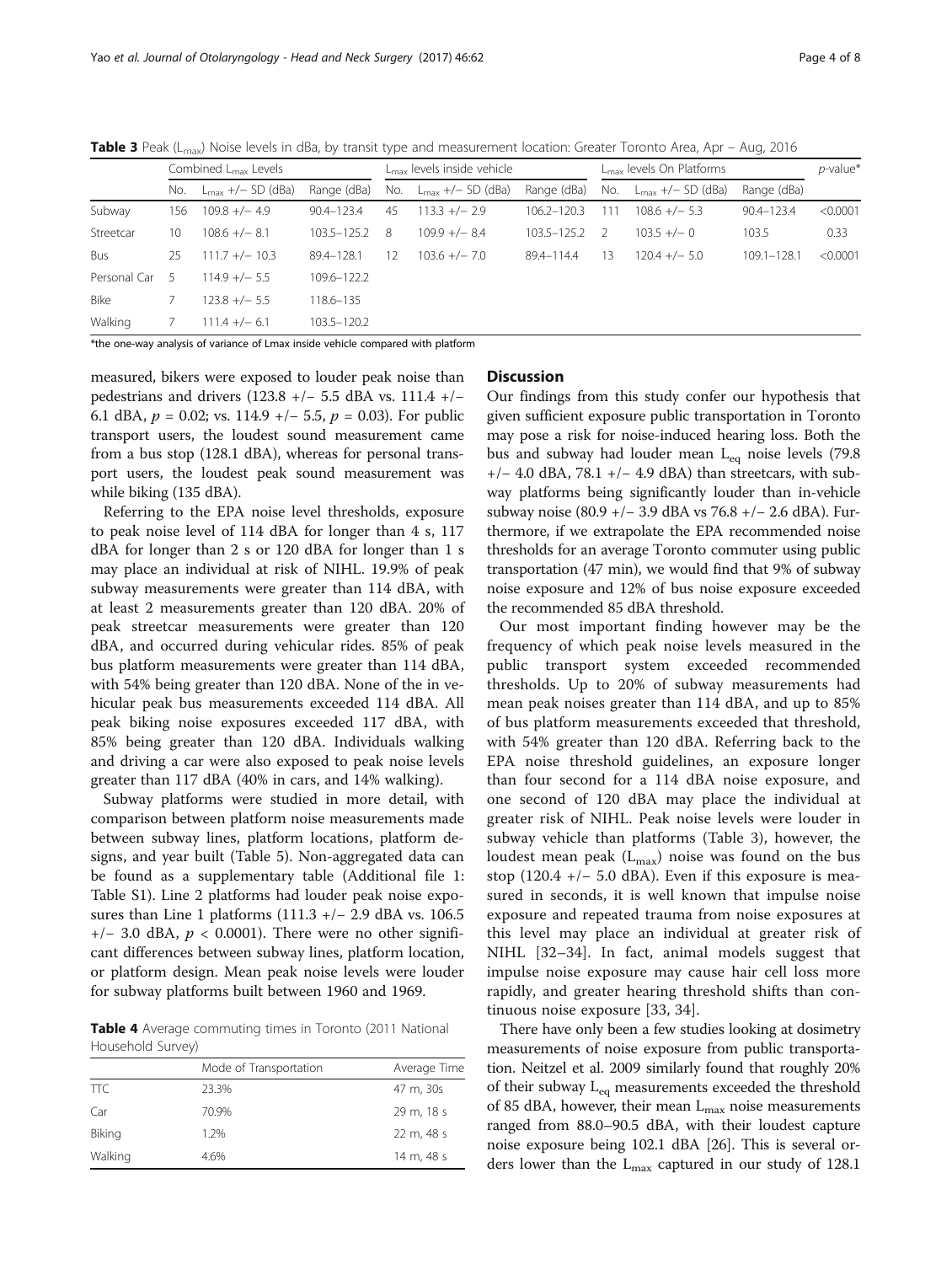<span id="page-3-0"></span>**Table 3** Peak (L<sub>max</sub>) Noise levels in dBa, by transit type and measurement location: Greater Toronto Area, Apr – Aug, 2016

|              | Combined L <sub>max</sub> Levels |                               | $L_{\text{max}}$ levels inside vehicle |    |                                   | L <sub>max</sub> levels On Platforms |     |                               | $p$ -value* |          |
|--------------|----------------------------------|-------------------------------|----------------------------------------|----|-----------------------------------|--------------------------------------|-----|-------------------------------|-------------|----------|
|              | No.                              | $L_{\text{max}}$ +/- SD (dBa) | Range (dBa)                            |    | No. $L_{\text{max}} +/- SD$ (dBa) | Range (dBa)                          | No. | $L_{\text{max}}$ +/- SD (dBa) | Range (dBa) |          |
| Subway       | 156                              | $109.8 +/- 4.9$               | 90.4-123.4                             | 45 | $113.3 +/- 2.9$                   | $106.2 - 120.3$                      | 111 | $108.6 +/- 5.3$               | 90.4-123.4  | < 0.0001 |
| Streetcar    | 10                               | $108.6 +/- 8.1$               | 103.5-125.2                            | 8  | $109.9 +/- 8.4$                   | $103.5 - 125.2$                      |     | $103.5 +/- 0$                 | 103.5       | 0.33     |
| Bus          | 25                               | $11.7 +/- 10.3$               | 89.4-128.1                             | 12 | $103.6 +/- 7.0$                   | 89.4-114.4                           | 13  | $120.4 +/- 5.0$               | 109.1-128.1 | < 0.0001 |
| Personal Car |                                  | $114.9 +/- 5.5$               | 109.6-122.2                            |    |                                   |                                      |     |                               |             |          |
| <b>Bike</b>  |                                  | $123.8 +/- 5.5$               | 118.6-135                              |    |                                   |                                      |     |                               |             |          |
| Walking      |                                  | $111.4 +/- 6.1$               | 103.5-120.2                            |    |                                   |                                      |     |                               |             |          |

\*the one-way analysis of variance of Lmax inside vehicle compared with platform

measured, bikers were exposed to louder peak noise than pedestrians and drivers (123.8 +/− 5.5 dBA vs. 111.4 +/− 6.1 dBA,  $p = 0.02$ ; vs. 114.9 +/- 5.5,  $p = 0.03$ ). For public transport users, the loudest sound measurement came from a bus stop (128.1 dBA), whereas for personal transport users, the loudest peak sound measurement was while biking (135 dBA).

Referring to the EPA noise level thresholds, exposure to peak noise level of 114 dBA for longer than 4 s, 117 dBA for longer than 2 s or 120 dBA for longer than 1 s may place an individual at risk of NIHL. 19.9% of peak subway measurements were greater than 114 dBA, with at least 2 measurements greater than 120 dBA. 20% of peak streetcar measurements were greater than 120 dBA, and occurred during vehicular rides. 85% of peak bus platform measurements were greater than 114 dBA, with 54% being greater than 120 dBA. None of the in vehicular peak bus measurements exceeded 114 dBA. All peak biking noise exposures exceeded 117 dBA, with 85% being greater than 120 dBA. Individuals walking and driving a car were also exposed to peak noise levels greater than 117 dBA (40% in cars, and 14% walking).

Subway platforms were studied in more detail, with comparison between platform noise measurements made between subway lines, platform locations, platform designs, and year built (Table [5\)](#page-5-0). Non-aggregated data can be found as a supplementary table (Additional file [1](#page-6-0): Table S1). Line 2 platforms had louder peak noise exposures than Line 1 platforms (111.3 +/− 2.9 dBA vs. 106.5  $+/-$  3.0 dBA,  $p < 0.0001$ ). There were no other significant differences between subway lines, platform location, or platform design. Mean peak noise levels were louder for subway platforms built between 1960 and 1969.

Table 4 Average commuting times in Toronto (2011 National Household Survey)

|            | Mode of Transportation | Average Time |  |  |  |
|------------|------------------------|--------------|--|--|--|
| <b>TTC</b> | 23.3%                  | 47 m, 30s    |  |  |  |
| Car        | 70.9%                  | 29 m, 18 s   |  |  |  |
| Biking     | 1.2%                   | 22 m, 48 s   |  |  |  |
| Walking    | 4.6%                   | 14 m, 48 s   |  |  |  |

## **Discussion**

Our findings from this study confer our hypothesis that given sufficient exposure public transportation in Toronto may pose a risk for noise-induced hearing loss. Both the bus and subway had louder mean  $L_{eq}$  noise levels (79.8) +/− 4.0 dBA, 78.1 +/− 4.9 dBA) than streetcars, with subway platforms being significantly louder than in-vehicle subway noise (80.9 +/− 3.9 dBA vs 76.8 +/− 2.6 dBA). Furthermore, if we extrapolate the EPA recommended noise thresholds for an average Toronto commuter using public transportation (47 min), we would find that 9% of subway noise exposure and 12% of bus noise exposure exceeded the recommended 85 dBA threshold.

Our most important finding however may be the frequency of which peak noise levels measured in the public transport system exceeded recommended thresholds. Up to 20% of subway measurements had mean peak noises greater than 114 dBA, and up to 85% of bus platform measurements exceeded that threshold, with 54% greater than 120 dBA. Referring back to the EPA noise threshold guidelines, an exposure longer than four second for a 114 dBA noise exposure, and one second of 120 dBA may place the individual at greater risk of NIHL. Peak noise levels were louder in subway vehicle than platforms (Table 3), however, the loudest mean peak  $(L_{\text{max}})$  noise was found on the bus stop (120.4 +/ $-$  5.0 dBA). Even if this exposure is measured in seconds, it is well known that impulse noise exposure and repeated trauma from noise exposures at this level may place an individual at greater risk of NIHL [\[32](#page-7-0)–[34](#page-7-0)]. In fact, animal models suggest that impulse noise exposure may cause hair cell loss more rapidly, and greater hearing threshold shifts than continuous noise exposure [\[33](#page-7-0), [34](#page-7-0)].

There have only been a few studies looking at dosimetry measurements of noise exposure from public transportation. Neitzel et al. 2009 similarly found that roughly 20% of their subway L<sub>eq</sub> measurements exceeded the threshold of 85 dBA, however, their mean  $L_{\text{max}}$  noise measurements ranged from 88.0–90.5 dBA, with their loudest capture noise exposure being 102.1 dBA [\[26\]](#page-7-0). This is several orders lower than the  $L_{\text{max}}$  captured in our study of 128.1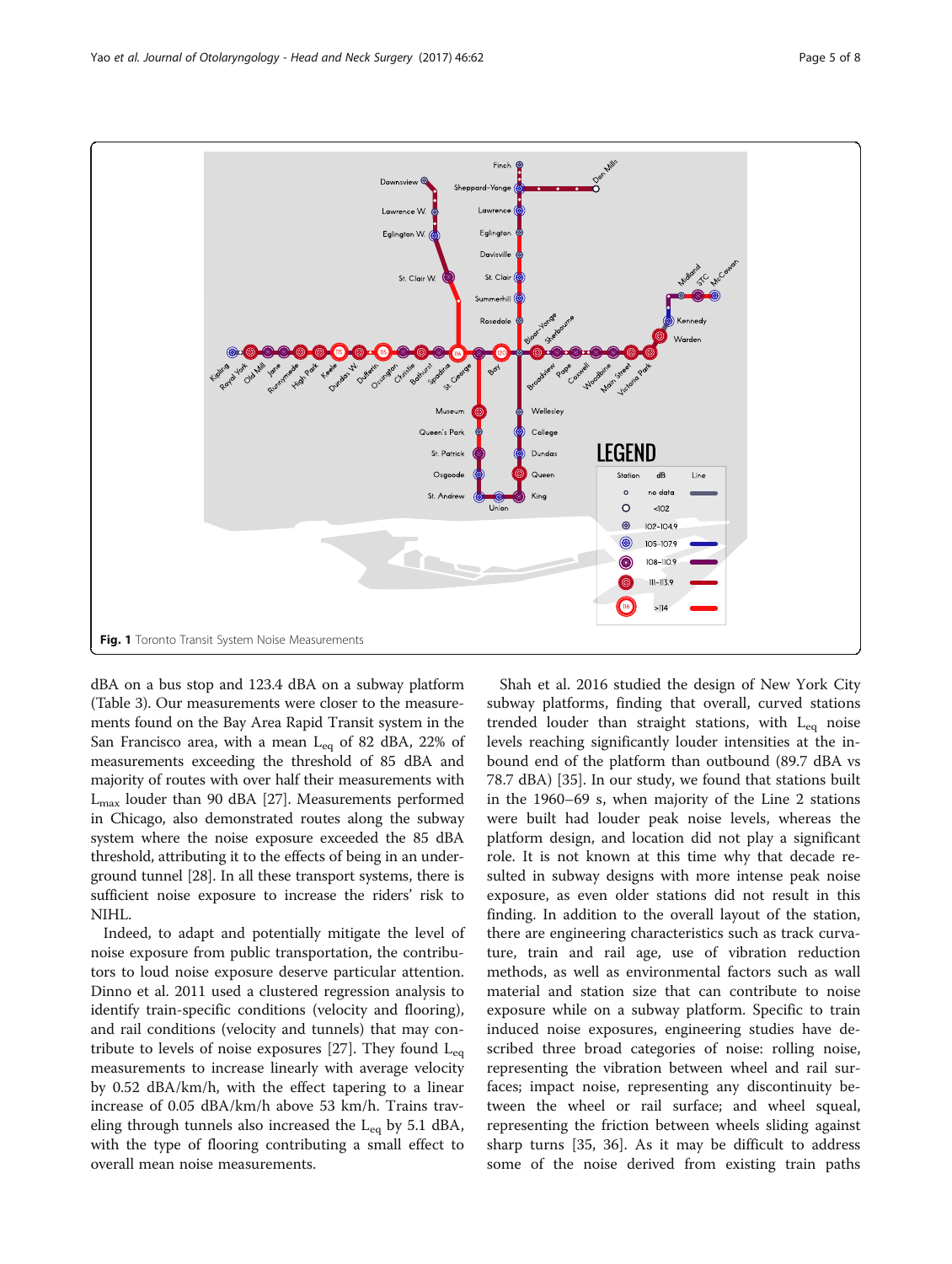<span id="page-4-0"></span>

dBA on a bus stop and 123.4 dBA on a subway platform (Table [3](#page-3-0)). Our measurements were closer to the measurements found on the Bay Area Rapid Transit system in the San Francisco area, with a mean  $L_{eq}$  of 82 dBA, 22% of measurements exceeding the threshold of 85 dBA and majority of routes with over half their measurements with  $L_{\text{max}}$  louder than 90 dBA [\[27\]](#page-7-0). Measurements performed in Chicago, also demonstrated routes along the subway system where the noise exposure exceeded the 85 dBA threshold, attributing it to the effects of being in an underground tunnel [\[28\]](#page-7-0). In all these transport systems, there is sufficient noise exposure to increase the riders' risk to NIHL.

Indeed, to adapt and potentially mitigate the level of noise exposure from public transportation, the contributors to loud noise exposure deserve particular attention. Dinno et al. 2011 used a clustered regression analysis to identify train-specific conditions (velocity and flooring), and rail conditions (velocity and tunnels) that may con-tribute to levels of noise exposures [[27\]](#page-7-0). They found  $L_{eq}$ measurements to increase linearly with average velocity by 0.52 dBA/km/h, with the effect tapering to a linear increase of 0.05 dBA/km/h above 53 km/h. Trains traveling through tunnels also increased the  $L_{eq}$  by 5.1 dBA, with the type of flooring contributing a small effect to overall mean noise measurements.

Shah et al. 2016 studied the design of New York City subway platforms, finding that overall, curved stations trended louder than straight stations, with  $L_{eq}$  noise levels reaching significantly louder intensities at the inbound end of the platform than outbound (89.7 dBA vs 78.7 dBA) [[35\]](#page-7-0). In our study, we found that stations built in the 1960–69 s, when majority of the Line 2 stations were built had louder peak noise levels, whereas the platform design, and location did not play a significant role. It is not known at this time why that decade resulted in subway designs with more intense peak noise exposure, as even older stations did not result in this finding. In addition to the overall layout of the station, there are engineering characteristics such as track curvature, train and rail age, use of vibration reduction methods, as well as environmental factors such as wall material and station size that can contribute to noise exposure while on a subway platform. Specific to train induced noise exposures, engineering studies have described three broad categories of noise: rolling noise, representing the vibration between wheel and rail surfaces; impact noise, representing any discontinuity between the wheel or rail surface; and wheel squeal, representing the friction between wheels sliding against sharp turns [[35, 36](#page-7-0)]. As it may be difficult to address some of the noise derived from existing train paths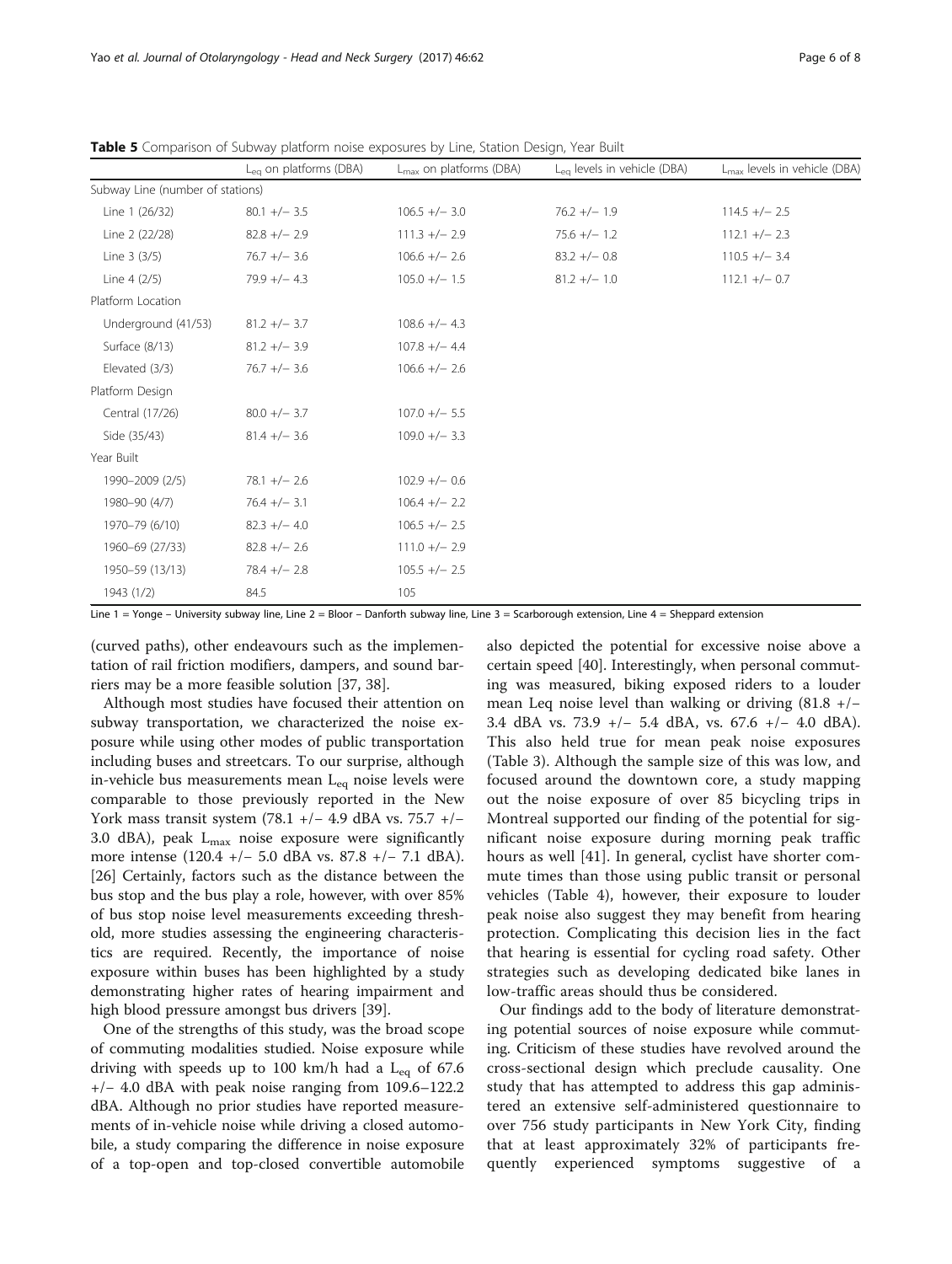|                                  | $L_{eq}$ on platforms (DBA) | $L_{\text{max}}$ on platforms (DBA) | L <sub>eg</sub> levels in vehicle (DBA) | $L_{\text{max}}$ levels in vehicle (DBA) |
|----------------------------------|-----------------------------|-------------------------------------|-----------------------------------------|------------------------------------------|
| Subway Line (number of stations) |                             |                                     |                                         |                                          |
| Line 1 (26/32)                   | $80.1 +/- 3.5$              | $106.5 +/- 3.0$                     | $76.2 +/- 1.9$                          | $114.5 +/- 2.5$                          |
| Line 2 (22/28)                   | $82.8 +/- 2.9$              | $111.3 +/- 2.9$                     | $75.6 +/- 1.2$                          | $112.1 +/- 2.3$                          |
| Line 3 (3/5)                     | $76.7 +/- 3.6$              | $106.6 +/- 2.6$                     | $83.2 +/- 0.8$                          | $110.5 +/- 3.4$                          |
| Line 4 (2/5)                     | $79.9 + - 4.3$              | $105.0 +/- 1.5$                     | $81.2 +/- 1.0$                          | $112.1 +/- 0.7$                          |
| Platform Location                |                             |                                     |                                         |                                          |
| Underground (41/53)              | $81.2 +/- 3.7$              | $108.6 +/- 4.3$                     |                                         |                                          |
| Surface (8/13)                   | $81.2 +/- 3.9$              | $107.8 +/- 4.4$                     |                                         |                                          |
| Elevated (3/3)                   | $76.7 +/- 3.6$              | $106.6 +/- 2.6$                     |                                         |                                          |
| Platform Design                  |                             |                                     |                                         |                                          |
| Central (17/26)                  | $80.0 +/- 3.7$              | $107.0 +/- 5.5$                     |                                         |                                          |
| Side (35/43)                     | $81.4 +/- 3.6$              | $109.0 +/- 3.3$                     |                                         |                                          |
| Year Built                       |                             |                                     |                                         |                                          |
| 1990-2009 (2/5)                  | $78.1 +/- 2.6$              | $102.9 +/- 0.6$                     |                                         |                                          |
| 1980-90 (4/7)                    | $76.4 +/- 3.1$              | $106.4 +/- 2.2$                     |                                         |                                          |
| 1970-79 (6/10)                   | $82.3 +/- 4.0$              | $106.5 +/- 2.5$                     |                                         |                                          |
| 1960-69 (27/33)                  | $82.8 +/- 2.6$              | $111.0 +/- 2.9$                     |                                         |                                          |
| 1950-59 (13/13)                  | $78.4 +/- 2.8$              | $105.5 +/- 2.5$                     |                                         |                                          |
| 1943 (1/2)                       | 84.5                        | 105                                 |                                         |                                          |

<span id="page-5-0"></span>Table 5 Comparison of Subway platform noise exposures by Line, Station Design, Year Built

Line 1 = Yonge - University subway line, Line 2 = Bloor - Danforth subway line, Line 3 = Scarborough extension, Line 4 = Sheppard extension

(curved paths), other endeavours such as the implementation of rail friction modifiers, dampers, and sound barriers may be a more feasible solution [\[37, 38\]](#page-7-0).

Although most studies have focused their attention on subway transportation, we characterized the noise exposure while using other modes of public transportation including buses and streetcars. To our surprise, although in-vehicle bus measurements mean  $L_{eq}$  noise levels were comparable to those previously reported in the New York mass transit system (78.1 +/− 4.9 dBA vs. 75.7 +/− 3.0 dBA), peak  $L_{\text{max}}$  noise exposure were significantly more intense (120.4 +/− 5.0 dBA vs. 87.8 +/− 7.1 dBA). [[26\]](#page-7-0) Certainly, factors such as the distance between the bus stop and the bus play a role, however, with over 85% of bus stop noise level measurements exceeding threshold, more studies assessing the engineering characteristics are required. Recently, the importance of noise exposure within buses has been highlighted by a study demonstrating higher rates of hearing impairment and high blood pressure amongst bus drivers [\[39](#page-7-0)].

One of the strengths of this study, was the broad scope of commuting modalities studied. Noise exposure while driving with speeds up to 100 km/h had a  $L_{eq}$  of 67.6 +/− 4.0 dBA with peak noise ranging from 109.6–122.2 dBA. Although no prior studies have reported measurements of in-vehicle noise while driving a closed automobile, a study comparing the difference in noise exposure of a top-open and top-closed convertible automobile

also depicted the potential for excessive noise above a certain speed [[40](#page-7-0)]. Interestingly, when personal commuting was measured, biking exposed riders to a louder mean Leq noise level than walking or driving (81.8 +/− 3.4 dBA vs. 73.9 +/− 5.4 dBA, vs. 67.6 +/− 4.0 dBA). This also held true for mean peak noise exposures (Table [3\)](#page-3-0). Although the sample size of this was low, and focused around the downtown core, a study mapping out the noise exposure of over 85 bicycling trips in Montreal supported our finding of the potential for significant noise exposure during morning peak traffic hours as well [\[41](#page-7-0)]. In general, cyclist have shorter commute times than those using public transit or personal vehicles (Table [4\)](#page-3-0), however, their exposure to louder peak noise also suggest they may benefit from hearing protection. Complicating this decision lies in the fact that hearing is essential for cycling road safety. Other strategies such as developing dedicated bike lanes in low-traffic areas should thus be considered.

Our findings add to the body of literature demonstrating potential sources of noise exposure while commuting. Criticism of these studies have revolved around the cross-sectional design which preclude causality. One study that has attempted to address this gap administered an extensive self-administered questionnaire to over 756 study participants in New York City, finding that at least approximately 32% of participants frequently experienced symptoms suggestive of a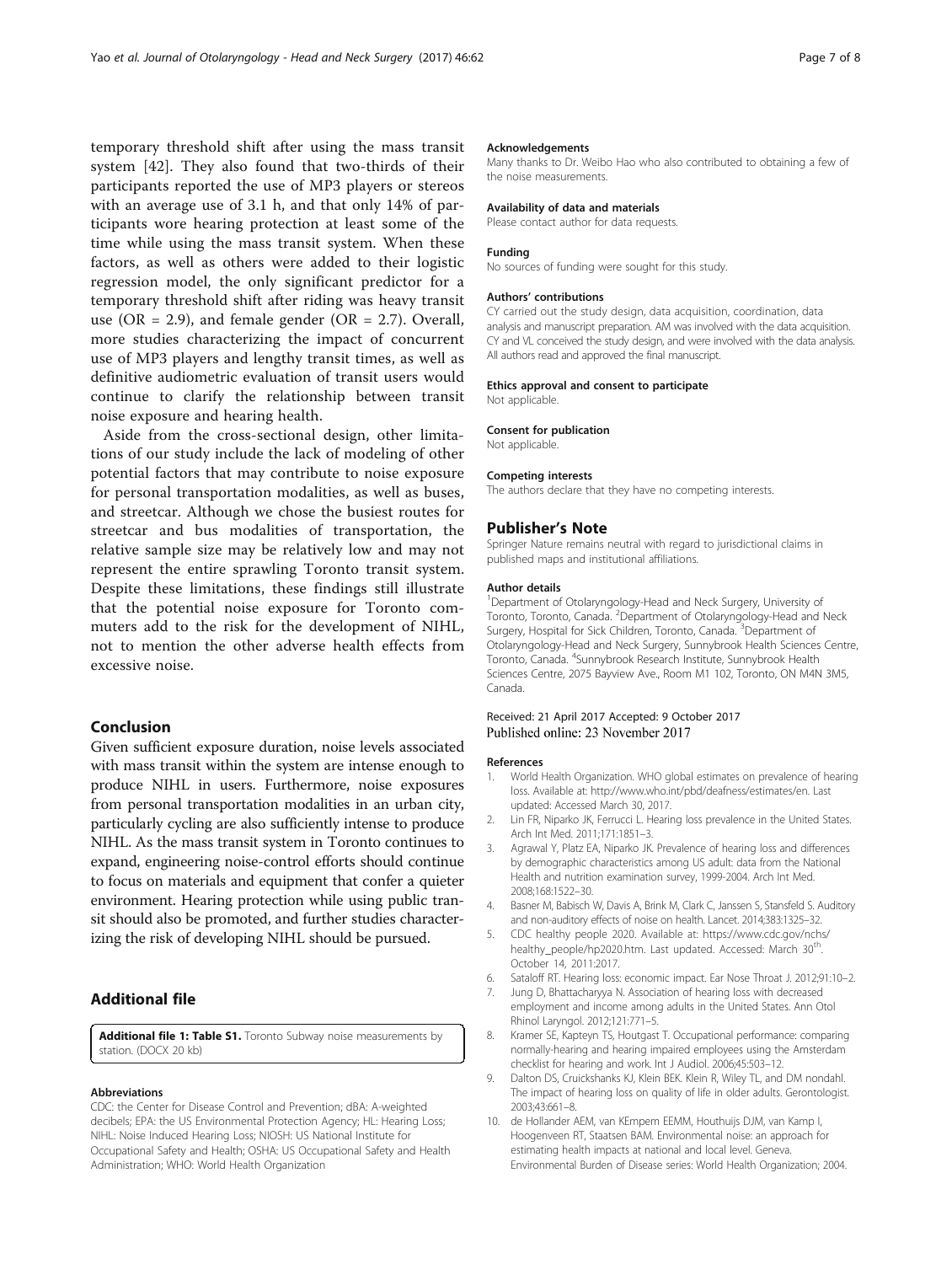<span id="page-6-0"></span>temporary threshold shift after using the mass transit system [[42\]](#page-7-0). They also found that two-thirds of their participants reported the use of MP3 players or stereos with an average use of 3.1 h, and that only 14% of participants wore hearing protection at least some of the time while using the mass transit system. When these factors, as well as others were added to their logistic regression model, the only significant predictor for a temporary threshold shift after riding was heavy transit use (OR = 2.9), and female gender (OR = 2.7). Overall, more studies characterizing the impact of concurrent use of MP3 players and lengthy transit times, as well as definitive audiometric evaluation of transit users would continue to clarify the relationship between transit noise exposure and hearing health.

Aside from the cross-sectional design, other limitations of our study include the lack of modeling of other potential factors that may contribute to noise exposure for personal transportation modalities, as well as buses, and streetcar. Although we chose the busiest routes for streetcar and bus modalities of transportation, the relative sample size may be relatively low and may not represent the entire sprawling Toronto transit system. Despite these limitations, these findings still illustrate that the potential noise exposure for Toronto commuters add to the risk for the development of NIHL, not to mention the other adverse health effects from excessive noise.

# Conclusion

Given sufficient exposure duration, noise levels associated with mass transit within the system are intense enough to produce NIHL in users. Furthermore, noise exposures from personal transportation modalities in an urban city, particularly cycling are also sufficiently intense to produce NIHL. As the mass transit system in Toronto continues to expand, engineering noise-control efforts should continue to focus on materials and equipment that confer a quieter environment. Hearing protection while using public transit should also be promoted, and further studies characterizing the risk of developing NIHL should be pursued.

## Additional file

[Additional file 1: Table S1.](dx.doi.org/10.1186/s40463-017-0239-6) Toronto Subway noise measurements by station. (DOCX 20 kb)

#### Abbreviations

CDC: the Center for Disease Control and Prevention; dBA: A-weighted decibels; EPA: the US Environmental Protection Agency; HL: Hearing Loss; NIHL: Noise Induced Hearing Loss; NIOSH: US National Institute for Occupational Safety and Health; OSHA: US Occupational Safety and Health Administration; WHO: World Health Organization

#### Acknowledgements

Many thanks to Dr. Weibo Hao who also contributed to obtaining a few of the noise measurements.

#### Availability of data and materials

Please contact author for data requests.

## Funding

No sources of funding were sought for this study.

#### Authors' contributions

CY carried out the study design, data acquisition, coordination, data analysis and manuscript preparation. AM was involved with the data acquisition. CY and VL conceived the study design, and were involved with the data analysis. All authors read and approved the final manuscript.

#### Ethics approval and consent to participate

Not applicable.

#### Consent for publication

Not applicable.

#### Competing interests

The authors declare that they have no competing interests.

#### Publisher's Note

Springer Nature remains neutral with regard to jurisdictional claims in published maps and institutional affiliations.

#### Author details

<sup>1</sup>Department of Otolaryngology-Head and Neck Surgery, University of Toronto, Toronto, Canada. <sup>2</sup>Department of Otolaryngology-Head and Neck Surgery, Hospital for Sick Children, Toronto, Canada. <sup>3</sup>Department of Otolaryngology-Head and Neck Surgery, Sunnybrook Health Sciences Centre, Toronto, Canada. <sup>4</sup> Sunnybrook Research Institute, Sunnybrook Health Sciences Centre, 2075 Bayview Ave., Room M1 102, Toronto, ON M4N 3M5, Canada.

## Received: 21 April 2017 Accepted: 9 October 2017 Published online: 23 November 2017

#### References

- 1. World Health Organization. WHO global estimates on prevalence of hearing loss. Available at: [http://www.who.int/pbd/deafness/estimates/en.](http://www.who.int/pbd/deafness/estimates/en) Last updated: Accessed March 30, 2017.
- 2. Lin FR, Niparko JK, Ferrucci L. Hearing loss prevalence in the United States. Arch Int Med. 2011;171:1851–3.
- 3. Agrawal Y, Platz EA, Niparko JK. Prevalence of hearing loss and differences by demographic characteristics among US adult: data from the National Health and nutrition examination survey, 1999-2004. Arch Int Med. 2008;168:1522–30.
- 4. Basner M, Babisch W, Davis A, Brink M, Clark C, Janssen S, Stansfeld S. Auditory and non-auditory effects of noise on health. Lancet. 2014;383:1325–32.
- 5. CDC healthy people 2020. Available at: [https://www.cdc.gov/nchs/](https://www.cdc.gov/nchs/healthy_people/hp2020.htm) [healthy\\_people/hp2020.htm.](https://www.cdc.gov/nchs/healthy_people/hp2020.htm) Last updated. Accessed: March 30<sup>th</sup>. October 14, 2011:2017.
- 6. Sataloff RT. Hearing loss: economic impact. Ear Nose Throat J. 2012;91:10–2.
- Jung D, Bhattacharyya N. Association of hearing loss with decreased employment and income among adults in the United States. Ann Otol Rhinol Laryngol. 2012;121:771–5.
- 8. Kramer SE, Kapteyn TS, Houtgast T. Occupational performance: comparing normally-hearing and hearing impaired employees using the Amsterdam checklist for hearing and work. Int J Audiol. 2006;45:503–12.
- 9. Dalton DS, Cruickshanks KJ, Klein BEK. Klein R, Wiley TL, and DM nondahl. The impact of hearing loss on quality of life in older adults. Gerontologist. 2003;43:661–8.
- 10. de Hollander AEM, van KEmpem EEMM, Houthuijs DJM, van Kamp I, Hoogenveen RT, Staatsen BAM. Environmental noise: an approach for estimating health impacts at national and local level. Geneva. Environmental Burden of Disease series: World Health Organization; 2004.